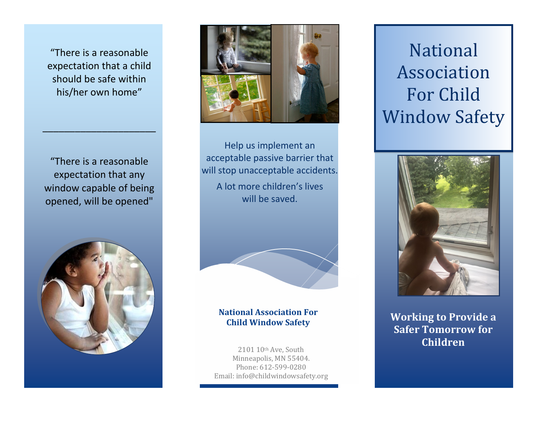"There is a reasonable expectation that a child should be safe within his/her own home"

"There is a reasonable expectation that any window capable of being opened, will be opened"

\_\_\_\_\_\_\_\_\_\_\_\_\_\_\_\_\_\_\_\_\_





Help us implement an acceptable passive barrier that will stop unacceptable accidents. A lot more children's lives will be saved.



### **National Association For Child Window Safety**

2101 10th Ave, South Minneapolis, MN 55404. Phone: 612-599-0280 Email: info@childwindowsafety.org

## National Association For Child Window Safety



**Working to Provide a Safer Tomorrow for Children**